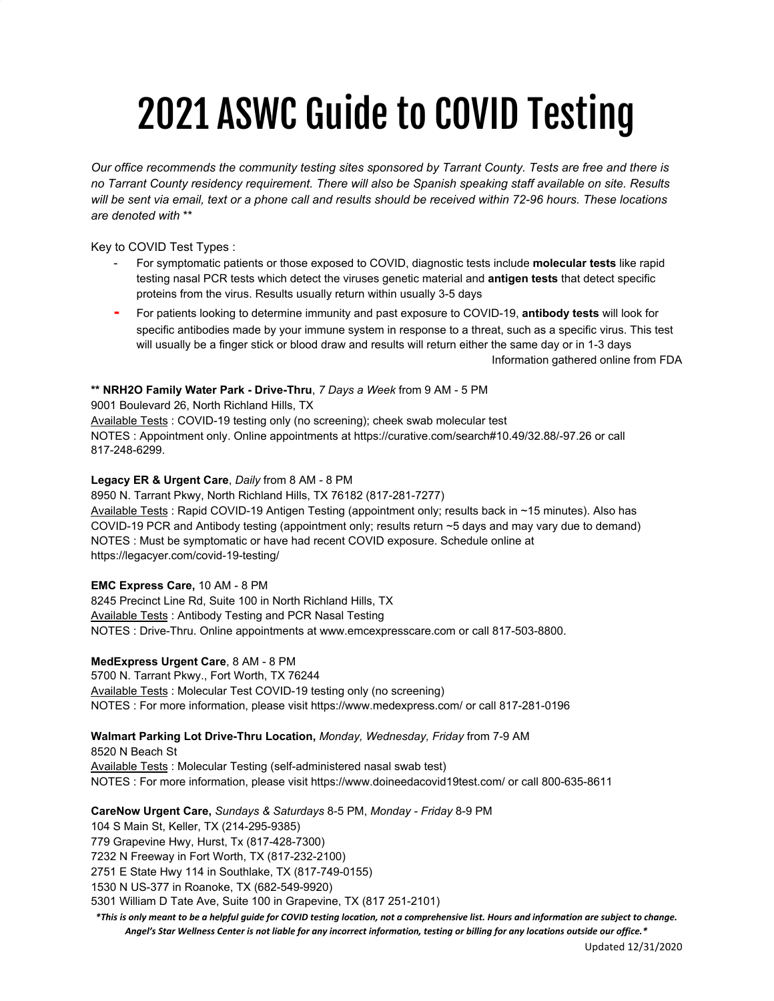# 2021 ASWC Guide to COVID Testing

Our office recommends the community testing sites sponsored by Tarrant County. Tests are free and there is *no Tarrant County residency requirement. There will also be Spanish speaking staff available on site. Results* will be sent via email, text or a phone call and results should be received within 72-96 hours. These locations *are denoted with* \*\*

Key to COVID Test Types :

- For symptomatic patients or those exposed to COVID, diagnostic tests include **molecular tests** like rapid testing nasal PCR tests which detect the viruses genetic material and **antigen tests** that detect specific proteins from the virus. Results usually return within usually 3-5 days
- **-** For patients looking to determine immunity and past exposure to COVID-19, **antibody tests** will look for specific antibodies made by your immune system in response to a threat, such as a specific virus. This test will usually be a finger stick or blood draw and results will return either the same day or in 1-3 days Information gathered online from FDA

**\*\* NRH2O Family Water Park - Drive-Thru**, *7 Days a Week* from 9 AM - 5 PM

9001 Boulevard 26, North Richland Hills, TX Available Tests : COVID-19 testing only (no screening); cheek swab molecular test NOTES : Appointment only. Online appointments at https://curative.com/search#10.49/32.88/-97.26 or call 817-248-6299.

#### **Legacy ER & Urgent Care**, *Daily* from 8 AM - 8 PM

8950 N. Tarrant Pkwy, North Richland Hills, TX 76182 (817-281-7277) Available Tests : Rapid COVID-19 Antigen Testing (appointment only; results back in ~15 minutes). Also has COVID-19 PCR and Antibody testing (appointment only; results return ~5 days and may vary due to demand) NOTES : Must be symptomatic or have had recent COVID exposure. Schedule online at https://legacyer.com/covid-19-testing/

**EMC Express Care,** 10 AM - 8 PM

8245 Precinct Line Rd, Suite 100 in North Richland Hills, TX Available Tests : Antibody Testing and PCR Nasal Testing NOTES : Drive-Thru. Online appointments at www.emcexpresscare.com or call 817-503-8800.

## **MedExpress Urgent Care**, 8 AM - 8 PM

5700 N. Tarrant Pkwy., Fort Worth, TX 76244 Available Tests : Molecular Test COVID-19 testing only (no screening) NOTES : For more information, please visit https://www.medexpress.com/ or call 817-281-0196

## **Walmart Parking Lot Drive-Thru Location,** *Monday, Wednesday, Friday* from 7-9 AM

8520 N Beach St Available Tests : Molecular Testing (self-administered nasal swab test) NOTES : For more information, please visit https://www.doineedacovid19test.com/ or call 800-635-8611

**CareNow Urgent Care,** *Sundays & Saturdays* 8-5 PM, *Monday - Friday* 8-9 PM

104 S Main St, Keller, TX (214-295-9385) 779 Grapevine Hwy, Hurst, Tx (817-428-7300) 7232 N Freeway in Fort Worth, TX (817-232-2100) 2751 E State Hwy 114 in Southlake, TX (817-749-0155) 1530 N US-377 in Roanoke, TX (682-549-9920) 5301 William D Tate Ave, Suite 100 in Grapevine, TX (817 251-2101)

\*This is only meant to be a helpful guide for COVID testing location, not a comprehensive list. Hours and information are subject to change. Angel's Star Wellness Center is not liable for any incorrect information, testing or billing for any locations outside our office.\*